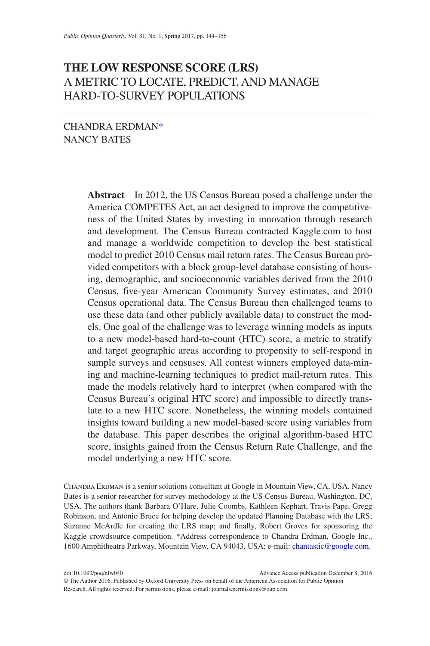# **THE LOW RESPONSE SCORE (LRS)** A METRIC TO LOCATE, PREDICT, AND MANAGE HARD-TO-SURVEY POPULATIONS

CHANDRA ERDMA[N\\*](#page-0-0) NANCY BATES

> **Abstract** In 2012, the US Census Bureau posed a challenge under the America COMPETES Act, an act designed to improve the competitiveness of the United States by investing in innovation through research and development. The Census Bureau contracted Kaggle.com to host and manage a worldwide competition to develop the best statistical model to predict 2010 Census mail return rates. The Census Bureau provided competitors with a block group-level database consisting of housing, demographic, and socioeconomic variables derived from the 2010 Census, five-year American Community Survey estimates, and 2010 Census operational data. The Census Bureau then challenged teams to use these data (and other publicly available data) to construct the models. One goal of the challenge was to leverage winning models as inputs to a new model-based hard-to-count (HTC) score, a metric to stratify and target geographic areas according to propensity to self-respond in sample surveys and censuses. All contest winners employed data-mining and machine-learning techniques to predict mail-return rates. This made the models relatively hard to interpret (when compared with the Census Bureau's original HTC score) and impossible to directly translate to a new HTC score. Nonetheless, the winning models contained insights toward building a new model-based score using variables from the database. This paper describes the original algorithm-based HTC score, insights gained from the Census Return Rate Challenge, and the model underlying a new HTC score.

<span id="page-0-0"></span>CHANDRA ERDMAN is a senior solutions consultant at Google in Mountain View, CA, USA. Nancy Bates is a senior researcher for survey methodology at the US Census Bureau, Washington, DC, USA. The authors thank Barbara O'Hare, Julie Coombs, Kathleen Kephart, Travis Pape, Gregg Robinson, and Antonio Bruce for helping develop the updated Planning Database with the LRS; Suzanne McArdle for creating the LRS map; and finally, Robert Groves for sponsoring the Kaggle crowdsource competition. \*Address correspondence to Chandra Erdman, Google Inc., 1600 Amphitheatre Parkway, Mountain View, CA 94043, USA; e-mail: [chantastic@google.com.](mailto:chantastic@google.com?subject=)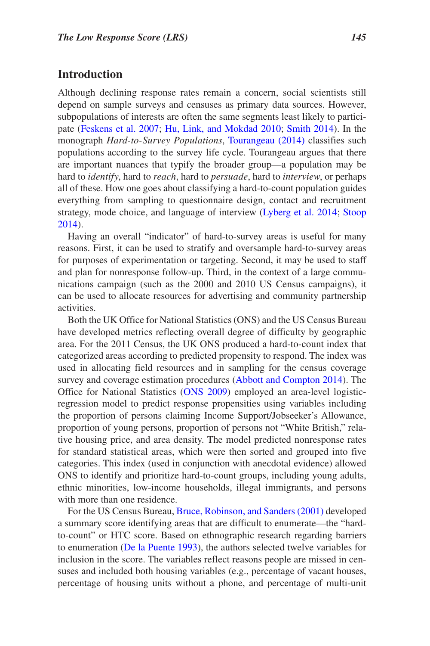# **Introduction**

Although declining response rates remain a concern, social scientists still depend on sample surveys and censuses as primary data sources. However, subpopulations of interests are often the same segments least likely to participate [\(Feskens et al. 2007;](#page-11-0) [Hu, Link, and Mokdad 2010](#page-11-1); [Smith 2014](#page-12-0)). In the monograph *Hard-to-Survey Populations*, [Tourangeau \(2014\)](#page-12-1) classifies such populations according to the survey life cycle. Tourangeau argues that there are important nuances that typify the broader group—a population may be hard to *identify*, hard to *reach*, hard to *persuade*, hard to *interview*, or perhaps all of these. How one goes about classifying a hard-to-count population guides everything from sampling to questionnaire design, contact and recruitment strategy, mode choice, and language of interview [\(Lyberg et al. 2014;](#page-11-2) [Stoop](#page-12-2) [2014](#page-12-2)).

Having an overall "indicator" of hard-to-survey areas is useful for many reasons. First, it can be used to stratify and oversample hard-to-survey areas for purposes of experimentation or targeting. Second, it may be used to staff and plan for nonresponse follow-up. Third, in the context of a large communications campaign (such as the 2000 and 2010 US Census campaigns), it can be used to allocate resources for advertising and community partnership activities.

Both the UK Office for National Statistics (ONS) and the US Census Bureau have developed metrics reflecting overall degree of difficulty by geographic area. For the 2011 Census, the UK ONS produced a hard-to-count index that categorized areas according to predicted propensity to respond. The index was used in allocating field resources and in sampling for the census coverage survey and coverage estimation procedures ([Abbott and Compton 2014](#page-11-3)). The Office for National Statistics [\(ONS 2009](#page-12-3)) employed an area-level logisticregression model to predict response propensities using variables including the proportion of persons claiming Income Support/Jobseeker's Allowance, proportion of young persons, proportion of persons not "White British," relative housing price, and area density. The model predicted nonresponse rates for standard statistical areas, which were then sorted and grouped into five categories. This index (used in conjunction with anecdotal evidence) allowed ONS to identify and prioritize hard-to-count groups, including young adults, ethnic minorities, low-income households, illegal immigrants, and persons with more than one residence.

For the US Census Bureau, [Bruce, Robinson, and Sanders \(2001\)](#page-11-4) developed a summary score identifying areas that are difficult to enumerate—the "hardto-count" or HTC score. Based on ethnographic research regarding barriers to enumeration [\(De la Puente 1993](#page-11-5)), the authors selected twelve variables for inclusion in the score. The variables reflect reasons people are missed in censuses and included both housing variables (e.g., percentage of vacant houses, percentage of housing units without a phone, and percentage of multi-unit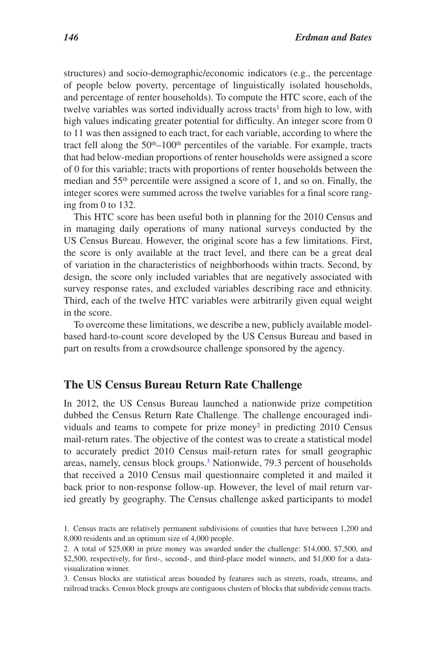structures) and socio-demographic/economic indicators (e.g., the percentage of people below poverty, percentage of linguistically isolated households, and percentage of renter households). To compute the HTC score, each of the twelve variables was sorted individually across tracts<sup>[1](#page-2-0)</sup> from high to low, with high values indicating greater potential for difficulty. An integer score from 0 to 11 was then assigned to each tract, for each variable, according to where the tract fell along the  $50<sup>th</sup>-100<sup>th</sup>$  percentiles of the variable. For example, tracts that had below-median proportions of renter households were assigned a score of 0 for this variable; tracts with proportions of renter households between the median and 55th percentile were assigned a score of 1, and so on. Finally, the integer scores were summed across the twelve variables for a final score ranging from 0 to 132.

This HTC score has been useful both in planning for the 2010 Census and in managing daily operations of many national surveys conducted by the US Census Bureau. However, the original score has a few limitations. First, the score is only available at the tract level, and there can be a great deal of variation in the characteristics of neighborhoods within tracts. Second, by design, the score only included variables that are negatively associated with survey response rates, and excluded variables describing race and ethnicity. Third, each of the twelve HTC variables were arbitrarily given equal weight in the score.

To overcome these limitations, we describe a new, publicly available modelbased hard-to-count score developed by the US Census Bureau and based in part on results from a crowdsource challenge sponsored by the agency.

#### **The US Census Bureau Return Rate Challenge**

In 2012, the US Census Bureau launched a nationwide prize competition dubbed the Census Return Rate Challenge. The challenge encouraged individuals and teams to compete for prize money<sup>2</sup> in predicting  $2010$  Census mail-return rates. The objective of the contest was to create a statistical model to accurately predict 2010 Census mail-return rates for small geographic areas, namely, census block groups.[3](#page-2-2) Nationwide, 79.3 percent of households that received a 2010 Census mail questionnaire completed it and mailed it back prior to non-response follow-up. However, the level of mail return varied greatly by geography. The Census challenge asked participants to model

<span id="page-2-0"></span><sup>1.</sup> Census tracts are relatively permanent subdivisions of counties that have between 1,200 and 8,000 residents and an optimum size of 4,000 people.

<span id="page-2-1"></span><sup>2.</sup> A total of \$25,000 in prize money was awarded under the challenge: \$14,000, \$7,500, and \$2,500, respectively, for first-, second-, and third-place model winners, and \$1,000 for a datavisualization winner.

<span id="page-2-2"></span><sup>3.</sup> Census blocks are statistical areas bounded by features such as streets, roads, streams, and railroad tracks. Census block groups are contiguous clusters of blocks that subdivide census tracts.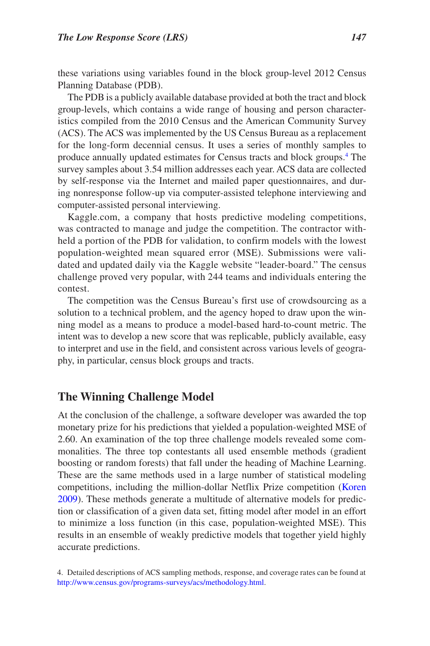these variations using variables found in the block group-level 2012 Census Planning Database (PDB).

The PDB is a publicly available database provided at both the tract and block group-levels, which contains a wide range of housing and person characteristics compiled from the 2010 Census and the American Community Survey (ACS). The ACS was implemented by the US Census Bureau as a replacement for the long-form decennial census. It uses a series of monthly samples to produce annually updated estimates for Census tracts and block groups.[4](#page-3-0) The survey samples about 3.54 million addresses each year. ACS data are collected by self-response via the Internet and mailed paper questionnaires, and during nonresponse follow-up via computer-assisted telephone interviewing and computer-assisted personal interviewing.

Kaggle.com, a company that hosts predictive modeling competitions, was contracted to manage and judge the competition. The contractor withheld a portion of the PDB for validation, to confirm models with the lowest population-weighted mean squared error (MSE). Submissions were validated and updated daily via the Kaggle website "leader-board." The census challenge proved very popular, with 244 teams and individuals entering the contest.

The competition was the Census Bureau's first use of crowdsourcing as a solution to a technical problem, and the agency hoped to draw upon the winning model as a means to produce a model-based hard-to-count metric. The intent was to develop a new score that was replicable, publicly available, easy to interpret and use in the field, and consistent across various levels of geography, in particular, census block groups and tracts.

#### **The Winning Challenge Model**

At the conclusion of the challenge, a software developer was awarded the top monetary prize for his predictions that yielded a population-weighted MSE of 2.60. An examination of the top three challenge models revealed some commonalities. The three top contestants all used ensemble methods (gradient boosting or random forests) that fall under the heading of Machine Learning. These are the same methods used in a large number of statistical modeling competitions, including the million-dollar Netflix Prize competition [\(Koren](#page-11-6)  [2009](#page-11-6)). These methods generate a multitude of alternative models for prediction or classification of a given data set, fitting model after model in an effort to minimize a loss function (in this case, population-weighted MSE). This results in an ensemble of weakly predictive models that together yield highly accurate predictions.

<span id="page-3-0"></span>4. Detailed descriptions of ACS sampling methods, response, and coverage rates can be found at <http://www.census.gov/programs-surveys/acs/methodology.html>.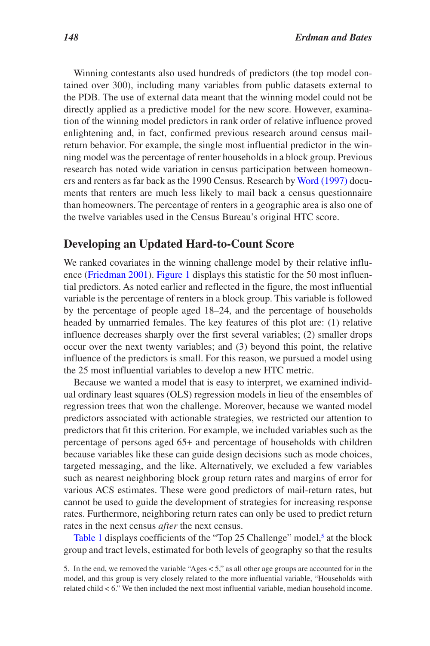Winning contestants also used hundreds of predictors (the top model contained over 300), including many variables from public datasets external to the PDB. The use of external data meant that the winning model could not be directly applied as a predictive model for the new score. However, examination of the winning model predictors in rank order of relative influence proved enlightening and, in fact, confirmed previous research around census mailreturn behavior. For example, the single most influential predictor in the winning model was the percentage of renter households in a block group. Previous research has noted wide variation in census participation between homeowners and renters as far back as the 1990 Census. Research by [Word \(1997\)](#page-12-4) documents that renters are much less likely to mail back a census questionnaire than homeowners. The percentage of renters in a geographic area is also one of the twelve variables used in the Census Bureau's original HTC score.

### **Developing an Updated Hard-to-Count Score**

We ranked covariates in the winning challenge model by their relative influence [\(Friedman 2001](#page-11-7)). [Figure 1](#page-5-0) displays this statistic for the 50 most influential predictors. As noted earlier and reflected in the figure, the most influential variable is the percentage of renters in a block group. This variable is followed by the percentage of people aged 18–24, and the percentage of households headed by unmarried females. The key features of this plot are: (1) relative influence decreases sharply over the first several variables; (2) smaller drops occur over the next twenty variables; and (3) beyond this point, the relative influence of the predictors is small. For this reason, we pursued a model using the 25 most influential variables to develop a new HTC metric.

Because we wanted a model that is easy to interpret, we examined individual ordinary least squares (OLS) regression models in lieu of the ensembles of regression trees that won the challenge. Moreover, because we wanted model predictors associated with actionable strategies, we restricted our attention to predictors that fit this criterion. For example, we included variables such as the percentage of persons aged 65+ and percentage of households with children because variables like these can guide design decisions such as mode choices, targeted messaging, and the like. Alternatively, we excluded a few variables such as nearest neighboring block group return rates and margins of error for various ACS estimates. These were good predictors of mail-return rates, but cannot be used to guide the development of strategies for increasing response rates. Furthermore, neighboring return rates can only be used to predict return rates in the next census *after* the next census.

[Table 1](#page-6-0) displays coefficients of the "Top 2[5](#page-4-0) Challenge" model,<sup>5</sup> at the block group and tract levels, estimated for both levels of geography so that the results

<span id="page-4-0"></span>5. In the end, we removed the variable "Ages < 5," as all other age groups are accounted for in the model, and this group is very closely related to the more influential variable, "Households with related child < 6." We then included the next most influential variable, median household income.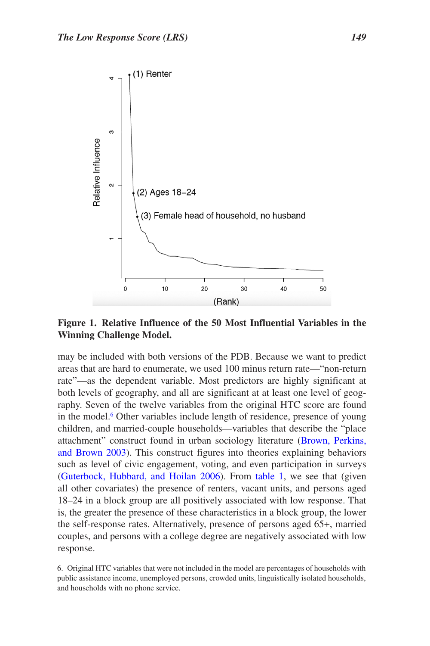

<span id="page-5-0"></span>**Figure 1. Relative Influence of the 50 Most Influential Variables in the Winning Challenge Model.**

may be included with both versions of the PDB. Because we want to predict areas that are hard to enumerate, we used 100 minus return rate—"non-return rate"—as the dependent variable. Most predictors are highly significant at both levels of geography, and all are significant at at least one level of geography. Seven of the twelve variables from the original HTC score are found in the model.<sup>[6](#page-5-1)</sup> Other variables include length of residence, presence of young children, and married-couple households—variables that describe the "place attachment" construct found in urban sociology literature [\(Brown, Perkins,](#page-11-8) [and Brown 2003\)](#page-11-8). This construct figures into theories explaining behaviors such as level of civic engagement, voting, and even participation in surveys [\(Guterbock, Hubbard, and Hoilan 2006](#page-11-9)). From [table 1,](#page-6-0) we see that (given all other covariates) the presence of renters, vacant units, and persons aged 18–24 in a block group are all positively associated with low response. That is, the greater the presence of these characteristics in a block group, the lower the self-response rates. Alternatively, presence of persons aged 65+, married couples, and persons with a college degree are negatively associated with low response.

<span id="page-5-1"></span>6. Original HTC variables that were not included in the model are percentages of households with public assistance income, unemployed persons, crowded units, linguistically isolated households, and households with no phone service.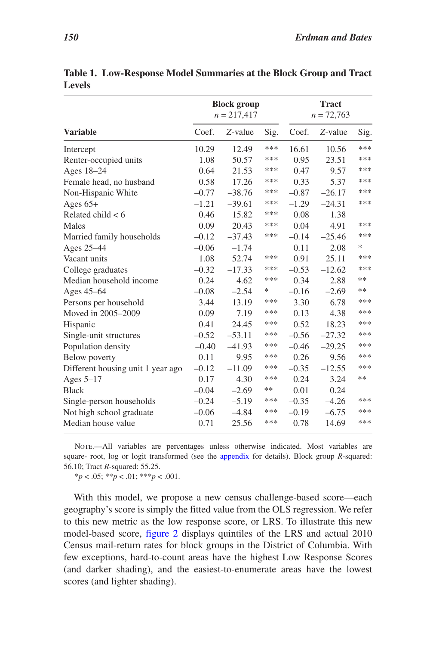|                                   | <b>Block group</b><br>$n = 217,417$ |            |      | <b>Tract</b><br>$n = 72,763$ |            |      |
|-----------------------------------|-------------------------------------|------------|------|------------------------------|------------|------|
| <b>Variable</b>                   | Coef.                               | $Z$ -value | Sig. | Coef.                        | $Z$ -value | Sig. |
| Intercept                         | 10.29                               | 12.49      | ***  | 16.61                        | 10.56      | ***  |
| Renter-occupied units             | 1.08                                | 50.57      | ***  | 0.95                         | 23.51      | ***  |
| Ages 18-24                        | 0.64                                | 21.53      | ***  | 0.47                         | 9.57       | ***  |
| Female head, no husband           | 0.58                                | 17.26      | ***  | 0.33                         | 5.37       | ***  |
| Non-Hispanic White                | $-0.77$                             | $-38.76$   | ***  | $-0.87$                      | $-26.17$   | ***  |
| Ages $65+$                        | $-1.21$                             | $-39.61$   | ***  | $-1.29$                      | $-24.31$   | ***  |
| Related child $< 6$               | 0.46                                | 15.82      | ***  | 0.08                         | 1.38       |      |
| Males                             | 0.09                                | 20.43      | ***  | 0.04                         | 4.91       | ***  |
| Married family households         | $-0.12$                             | $-37.43$   | ***  | $-0.14$                      | $-25.46$   | ***  |
| Ages 25-44                        | $-0.06$                             | $-1.74$    |      | 0.11                         | 2.08       | *    |
| Vacant units                      | 1.08                                | 52.74      | ***  | 0.91                         | 25.11      | ***  |
| College graduates                 | $-0.32$                             | $-17.33$   | ***  | $-0.53$                      | $-12.62$   | ***  |
| Median household income           | 0.24                                | 4.62       | ***  | 0.34                         | 2.88       | **   |
| Ages 45–64                        | $-0.08$                             | $-2.54$    | *    | $-0.16$                      | $-2.69$    | **   |
| Persons per household             | 3.44                                | 13.19      | ***  | 3.30                         | 6.78       | ***  |
| Moved in 2005-2009                | 0.09                                | 7.19       | ***  | 0.13                         | 4.38       | ***  |
| Hispanic                          | 0.41                                | 24.45      | ***  | 0.52                         | 18.23      | ***  |
| Single-unit structures            | $-0.52$                             | $-53.11$   | ***  | $-0.56$                      | $-27.32$   | ***  |
| Population density                | $-0.40$                             | $-41.93$   | ***  | $-0.46$                      | $-29.25$   | ***  |
| Below poverty                     | 0.11                                | 9.95       | ***  | 0.26                         | 9.56       | ***  |
| Different housing unit 1 year ago | $-0.12$                             | $-11.09$   | ***  | $-0.35$                      | $-12.55$   | ***  |
| Ages $5-17$                       | 0.17                                | 4.30       | ***  | 0.24                         | 3.24       | **   |
| <b>Black</b>                      | $-0.04$                             | $-2.69$    | **   | 0.01                         | 0.24       |      |
| Single-person households          | $-0.24$                             | $-5.19$    | ***  | $-0.35$                      | $-4.26$    | ***  |
| Not high school graduate          | $-0.06$                             | $-4.84$    | ***  | $-0.19$                      | $-6.75$    | ***  |
| Median house value                | 0.71                                | 25.56      | ***  | 0.78                         | 14.69      | ***  |

<span id="page-6-0"></span>**Table 1. Low-Response Model Summaries at the Block Group and Tract Levels**

NOTE.--All variables are percentages unless otherwise indicated. Most variables are square- root, log or logit transformed (see the [appendix](#page-10-0) for details). Block group *R*-squared: 56.10; Tract *R*-squared: 55.25.

\**p* < .05; \*\**p* < .01; \*\*\**p* < .001.

With this model, we propose a new census challenge-based score—each geography's score is simply the fitted value from the OLS regression. We refer to this new metric as the low response score, or LRS. To illustrate this new model-based score, figure 2 displays quintiles of the LRS and actual 2010 Census mail-return rates for block groups in the District of Columbia. With few exceptions, hard-to-count areas have the highest Low Response Scores (and darker shading), and the easiest-to-enumerate areas have the lowest scores (and lighter shading).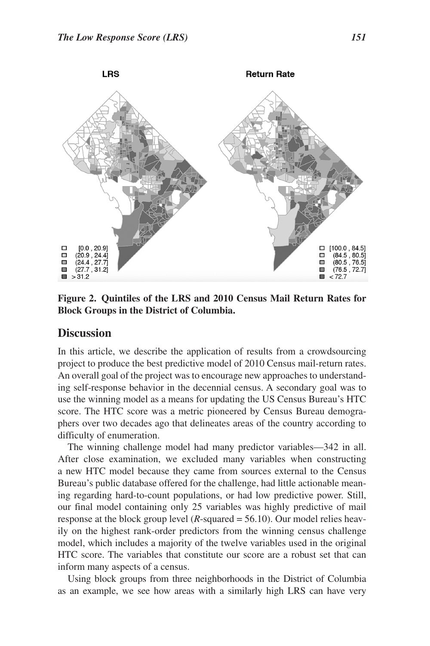

<span id="page-7-0"></span>**Figure 2. Quintiles of the LRS and 2010 Census Mail Return Rates for Block Groups in the District of Columbia.**

#### **Discussion**

In this article, we describe the application of results from a crowdsourcing project to produce the best predictive model of 2010 Census mail-return rates. An overall goal of the project was to encourage new approaches to understanding self-response behavior in the decennial census. A secondary goal was to use the winning model as a means for updating the US Census Bureau's HTC score. The HTC score was a metric pioneered by Census Bureau demographers over two decades ago that delineates areas of the country according to difficulty of enumeration.

The winning challenge model had many predictor variables—342 in all. After close examination, we excluded many variables when constructing a new HTC model because they came from sources external to the Census Bureau's public database offered for the challenge, had little actionable meaning regarding hard-to-count populations, or had low predictive power. Still, our final model containing only 25 variables was highly predictive of mail response at the block group level (*R*-squared = 56.10). Our model relies heavily on the highest rank-order predictors from the winning census challenge model, which includes a majority of the twelve variables used in the original HTC score. The variables that constitute our score are a robust set that can inform many aspects of a census.

Using block groups from three neighborhoods in the District of Columbia as an example, we see how areas with a similarly high LRS can have very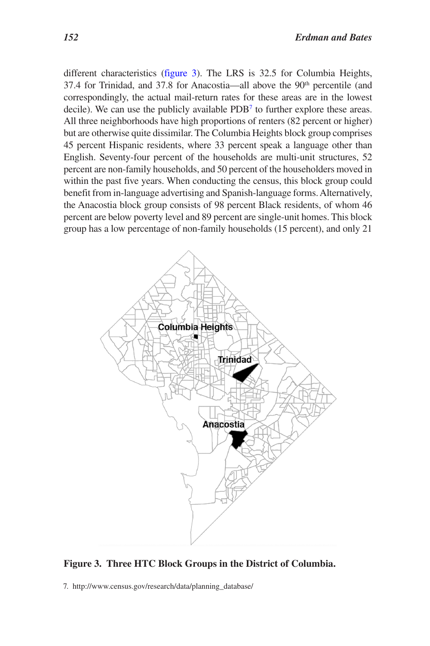different characteristics (figure 3). The LRS is 32.5 for Columbia Heights, 37.4 for Trinidad, and 37.8 for Anacostia—all above the  $90<sup>th</sup>$  percentile (and correspondingly, the actual mail-return rates for these areas are in the lowest decile). We can use the publicly available PDB<sup>[7](#page-8-1)</sup> to further explore these areas. All three neighborhoods have high proportions of renters (82 percent or higher) but are otherwise quite dissimilar. The Columbia Heights block group comprises 45 percent Hispanic residents, where 33 percent speak a language other than English. Seventy-four percent of the households are multi-unit structures, 52 percent are non-family households, and 50 percent of the householders moved in within the past five years. When conducting the census, this block group could benefit from in-language advertising and Spanish-language forms. Alternatively, the Anacostia block group consists of 98 percent Black residents, of whom 46 percent are below poverty level and 89 percent are single-unit homes. This block group has a low percentage of non-family households (15 percent), and only 21



#### <span id="page-8-0"></span>**Figure 3. Three HTC Block Groups in the District of Columbia.**

<span id="page-8-1"></span>7. http://www.census.gov/research/data/planning\_database/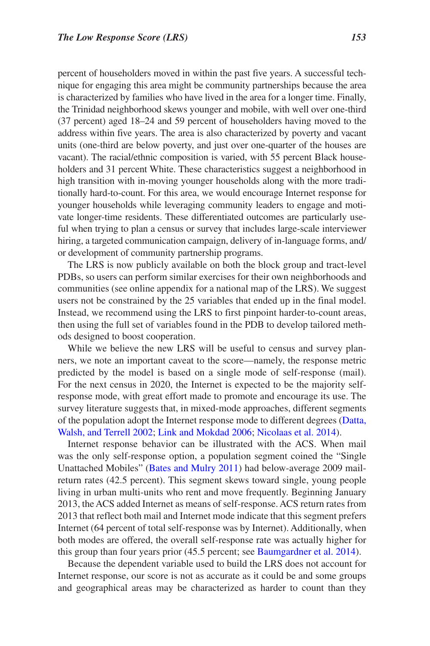percent of householders moved in within the past five years. A successful technique for engaging this area might be community partnerships because the area is characterized by families who have lived in the area for a longer time. Finally, the Trinidad neighborhood skews younger and mobile, with well over one-third (37 percent) aged 18–24 and 59 percent of householders having moved to the address within five years. The area is also characterized by poverty and vacant units (one-third are below poverty, and just over one-quarter of the houses are vacant). The racial/ethnic composition is varied, with 55 percent Black householders and 31 percent White. These characteristics suggest a neighborhood in high transition with in-moving younger households along with the more traditionally hard-to-count. For this area, we would encourage Internet response for younger households while leveraging community leaders to engage and motivate longer-time residents. These differentiated outcomes are particularly useful when trying to plan a census or survey that includes large-scale interviewer hiring, a targeted communication campaign, delivery of in-language forms, and/ or development of community partnership programs.

The LRS is now publicly available on both the block group and tract-level PDBs, so users can perform similar exercises for their own neighborhoods and communities (see online appendix for a national map of the LRS). We suggest users not be constrained by the 25 variables that ended up in the final model. Instead, we recommend using the LRS to first pinpoint harder-to-count areas, then using the full set of variables found in the PDB to develop tailored methods designed to boost cooperation.

While we believe the new LRS will be useful to census and survey planners, we note an important caveat to the score—namely, the response metric predicted by the model is based on a single mode of self-response (mail). For the next census in 2020, the Internet is expected to be the majority selfresponse mode, with great effort made to promote and encourage its use. The survey literature suggests that, in mixed-mode approaches, different segments of the population adopt the Internet response mode to different degrees ([Datta,](#page-11-10) [Walsh, and Terrell 2002;](#page-11-10) [Link and Mokdad 2006;](#page-11-11) [Nicolaas et al. 2014\)](#page-11-12).

Internet response behavior can be illustrated with the ACS. When mail was the only self-response option, a population segment coined the "Single Unattached Mobiles" ([Bates and Mulry 2011\)](#page-11-13) had below-average 2009 mailreturn rates (42.5 percent). This segment skews toward single, young people living in urban multi-units who rent and move frequently. Beginning January 2013, the ACS added Internet as means of self-response. ACS return rates from 2013 that reflect both mail and Internet mode indicate that this segment prefers Internet (64 percent of total self-response was by Internet). Additionally, when both modes are offered, the overall self-response rate was actually higher for this group than four years prior (45.5 percent; see [Baumgardner et al. 2014](#page-11-14)).

Because the dependent variable used to build the LRS does not account for Internet response, our score is not as accurate as it could be and some groups and geographical areas may be characterized as harder to count than they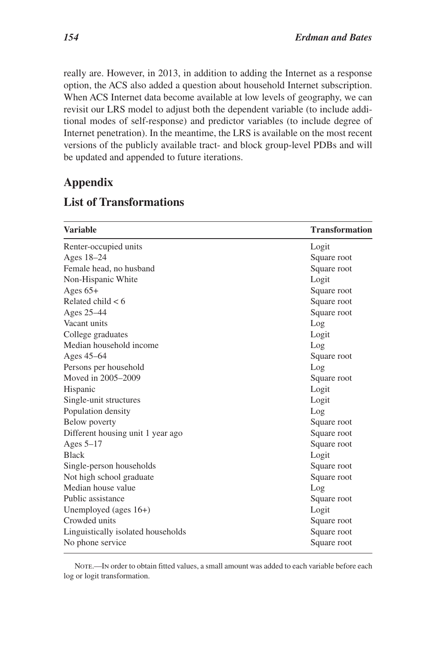really are. However, in 2013, in addition to adding the Internet as a response option, the ACS also added a question about household Internet subscription. When ACS Internet data become available at low levels of geography, we can revisit our LRS model to adjust both the dependent variable (to include additional modes of self-response) and predictor variables (to include degree of Internet penetration). In the meantime, the LRS is available on the most recent versions of the publicly available tract- and block group-level PDBs and will be updated and appended to future iterations.

# <span id="page-10-0"></span>**Appendix**

| <b>Variable</b>                    | <b>Transformation</b> |
|------------------------------------|-----------------------|
| Renter-occupied units              | Logit                 |
| Ages 18–24                         | Square root           |
| Female head, no husband            | Square root           |
| Non-Hispanic White                 | Logit                 |
| Ages $65+$                         | Square root           |
| Related child $< 6$                | Square root           |
| Ages 25-44                         | Square root           |
| Vacant units                       | Log                   |
| College graduates                  | Logit                 |
| Median household income            | Log                   |
| Ages 45–64                         | Square root           |
| Persons per household              | Log                   |
| Moved in 2005-2009                 | Square root           |
| Hispanic                           | Logit                 |
| Single-unit structures             | Logit                 |
| Population density                 | Log                   |
| Below poverty                      | Square root           |
| Different housing unit 1 year ago  | Square root           |
| Ages $5-17$                        | Square root           |
| <b>Black</b>                       | Logit                 |
| Single-person households           | Square root           |
| Not high school graduate           | Square root           |
| Median house value                 | Log                   |
| Public assistance                  | Square root           |
| Unemployed (ages $16+$ )           | Logit                 |
| Crowded units                      | Square root           |
| Linguistically isolated households | Square root           |
| No phone service                   | Square root           |
|                                    |                       |

## **List of Transformations**

Nore.—In order to obtain fitted values, a small amount was added to each variable before each log or logit transformation.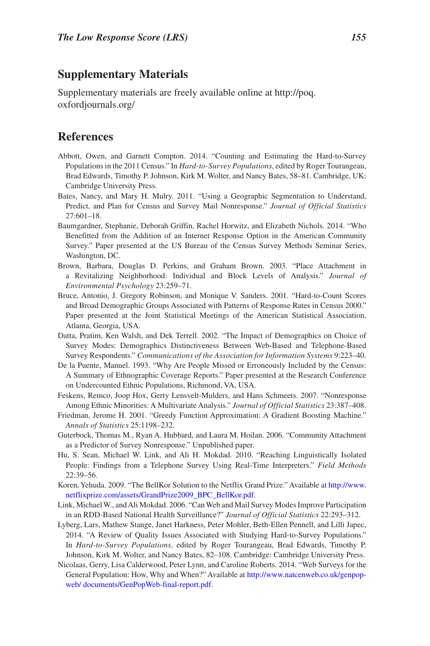### **Supplementary Materials**

Supplementary materials are freely available online at http://poq. oxfordjournals.org/

## **References**

- <span id="page-11-3"></span>Abbott, Owen, and Garnett Compton. 2014. "Counting and Estimating the Hard-to-Survey Populations in the 2011 Census." In *Hard-to-Survey Populations*, edited by Roger Tourangeau, Brad Edwards, Timothy P. Johnson, Kirk M. Wolter, and Nancy Bates, 58–81. Cambridge, UK: Cambridge University Press.
- <span id="page-11-13"></span>Bates, Nancy, and Mary H. Mulry. 2011. "Using a Geographic Segmentation to Understand, Predict, and Plan for Census and Survey Mail Nonresponse." *Journal of Official Statistics* 27:601–18.
- <span id="page-11-14"></span>Baumgardner, Stephanie, Deborah Griffin, Rachel Horwitz, and Elizabeth Nichols. 2014. "Who Benefitted from the Addition of an Internet Response Option in the American Community Survey." Paper presented at the US Bureau of the Census Survey Methods Seminar Series, Washington, DC.
- <span id="page-11-8"></span>Brown, Barbara, Douglas D. Perkins, and Graham Brown. 2003. "Place Attachment in a Revitalizing Neighborhood: Individual and Block Levels of Analysis." *Journal of Environmental Psychology* 23:259–71.
- <span id="page-11-4"></span>Bruce, Antonio, J. Gregory Robinson, and Monique V. Sanders. 2001. "Hard-to-Count Scores and Broad Demographic Groups Associated with Patterns of Response Rates in Census 2000." Paper presented at the Joint Statistical Meetings of the American Statistical Association, Atlanta, Georgia, USA.
- <span id="page-11-10"></span>Datta, Pratim, Ken Walsh, and Dek Terrell. 2002. "The Impact of Demographics on Choice of Survey Modes: Demographics Distinctiveness Between Web-Based and Telephone-Based Survey Respondents." *Communications of the Association for Information Systems* 9:223–40.
- <span id="page-11-5"></span>De la Puente, Manuel. 1993. "Why Are People Missed or Erroneously Included by the Census: A Summary of Ethnographic Coverage Reports." Paper presented at the Research Conference on Undercounted Ethnic Populations, Richmond, VA, USA.
- <span id="page-11-0"></span>Feskens, Remco, Joop Hox, Gerty Lensvelt-Mulders, and Hans Schmeets. 2007. "Nonresponse Among Ethnic Minorities: A Multivariate Analysis." *Journal of Official Statistics* 23:387–408.
- <span id="page-11-7"></span>Friedman, Jerome H. 2001. "Greedy Function Approximation: A Gradient Boosting Machine." *Annals of Statistics* 25:1198–232.
- <span id="page-11-9"></span>Guterbock, Thomas M., Ryan A. Hubbard, and Laura M. Hoilan. 2006. "Community Attachment as a Predictor of Survey Nonresponse." Unpublished paper.
- <span id="page-11-1"></span>Hu, S. Sean, Michael W. Link, and Ali H. Mokdad. 2010. "Reaching Linguistically Isolated People: Findings from a Telephone Survey Using Real-Time Interpreters." *Field Methods* 22:39–56.
- <span id="page-11-6"></span>Koren, Yehuda. 2009. "The BellKor Solution to the Netflix Grand Prize." Available at [http://www.](http://www.netflixprize.com/assets/GrandPrize2009_BPC_BellKor.pdf) [netflixprize.com/assets/GrandPrize2009\\_BPC\\_BellKor.pdf](http://www.netflixprize.com/assets/GrandPrize2009_BPC_BellKor.pdf).
- <span id="page-11-11"></span>Link, Michael W., and Ali Mokdad. 2006. "Can Web and Mail Survey Modes Improve Participation in an RDD-Based National Health Surveillance?" *Journal of Official Statistics* 22:293–312.
- <span id="page-11-2"></span>Lyberg, Lars, Mathew Stange, Janet Harkness, Peter Mohler, Beth-Ellen Pennell, and Lilli Japec, 2014. "A Review of Quality Issues Associated with Studying Hard-to-Survey Populations." In *Hard-to-Survey Populations*, edited by Roger Tourangeau, Brad Edwards, Timothy P. Johnson, Kirk M. Wolter, and Nancy Bates, 82–108. Cambridge: Cambridge University Press.
- <span id="page-11-12"></span>Nicolaas, Gerry, Lisa Calderwood, Peter Lynn, and Caroline Roberts. 2014. "Web Surveys for the General Population: How, Why and When?" Available at [http://www.natcenweb.co.uk/genpop](http://www.natcenweb.co.uk/genpopweb/ documents/GenPopWeb-final-report.pdf)[web/ documents/GenPopWeb-final-report.pdf](http://www.natcenweb.co.uk/genpopweb/ documents/GenPopWeb-final-report.pdf).